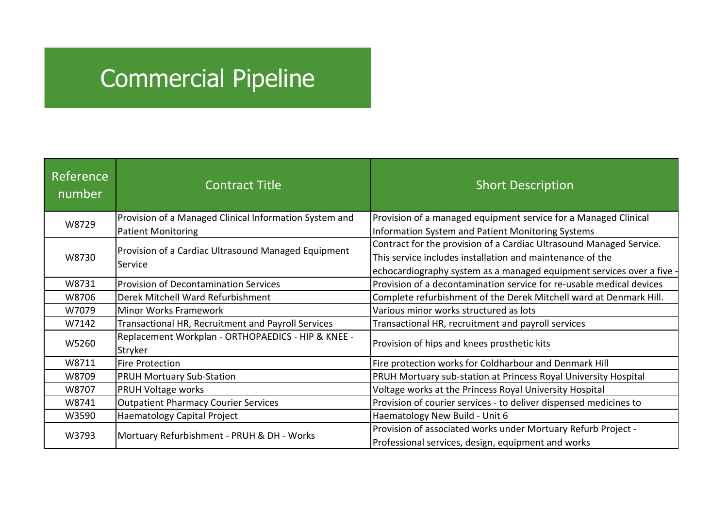## Commercial Pipeline

| Reference<br>number | <b>Contract Title</b>                                          | <b>Short Description</b>                                              |  |
|---------------------|----------------------------------------------------------------|-----------------------------------------------------------------------|--|
| W8729               | Provision of a Managed Clinical Information System and         | Provision of a managed equipment service for a Managed Clinical       |  |
|                     | <b>Patient Monitoring</b>                                      | Information System and Patient Monitoring Systems                     |  |
| W8730               | Provision of a Cardiac Ultrasound Managed Equipment<br>Service | Contract for the provision of a Cardiac Ultrasound Managed Service.   |  |
|                     |                                                                | This service includes installation and maintenance of the             |  |
|                     |                                                                | echocardiography system as a managed equipment services over a five - |  |
| W8731               | <b>Provision of Decontamination Services</b>                   | Provision of a decontamination service for re-usable medical devices  |  |
| W8706               | Derek Mitchell Ward Refurbishment                              | Complete refurbishment of the Derek Mitchell ward at Denmark Hill.    |  |
| W7079               | <b>Minor Works Framework</b>                                   | Various minor works structured as lots                                |  |
| W7142               | Transactional HR, Recruitment and Payroll Services             | Transactional HR, recruitment and payroll services                    |  |
| W5260               | Replacement Workplan - ORTHOPAEDICS - HIP & KNEE -<br>Stryker  | Provision of hips and knees prosthetic kits                           |  |
| W8711               | <b>Fire Protection</b>                                         | Fire protection works for Coldharbour and Denmark Hill                |  |
| W8709               | <b>PRUH Mortuary Sub-Station</b>                               | PRUH Mortuary sub-station at Princess Royal University Hospital       |  |
| W8707               | PRUH Voltage works                                             | Voltage works at the Princess Royal University Hospital               |  |
| W8741               | <b>Outpatient Pharmacy Courier Services</b>                    | Provision of courier services - to deliver dispensed medicines to     |  |
| W3590               | Haematology Capital Project                                    | Haematology New Build - Unit 6                                        |  |
| W3793               | Mortuary Refurbishment - PRUH & DH - Works                     | Provision of associated works under Mortuary Refurb Project -         |  |
|                     |                                                                | Professional services, design, equipment and works                    |  |